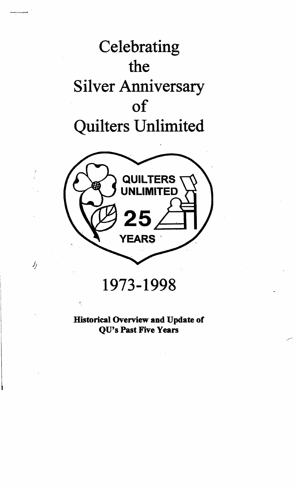



1973-1998

 $\hat{J}$ 

Historical Overview and Update of QU's Past Five Years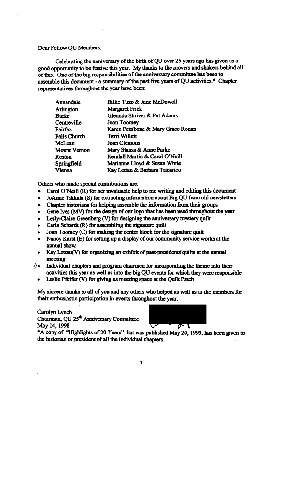Dear Fellow QU Members,

Celebrating the anniversary of the birth of QU over 25 years ago has given us a good opportunity to be festive this year. My thanks to the movers and shakers behind all of this. One of the big responsibilities of the anniversary committee has been to assemble this document - a summary of the past five years of QU activities.\* Chapter representatives throughout the year have been:

| Annandale           | Billie Tuzo & Jane McDowell        |  |  |
|---------------------|------------------------------------|--|--|
| <b>Arlington</b>    | <b>Margaret Frick</b>              |  |  |
| Burke               | Glennda Shriver & Pat Adams        |  |  |
| Centreville         | <b>Joan Toomey</b>                 |  |  |
| Fairfax             | Karen Pettibone & Mary Grace Ronan |  |  |
| <b>Falls Church</b> | Terri Willett                      |  |  |
| McLean              | Joan Clemons                       |  |  |
| Mount Vernon        | Mary Stauss & Anne Parke           |  |  |
| Reston              | Kendall Martin & Carol O'Neill     |  |  |
| Springfield         | Marianne Lloyd & Susan White       |  |  |
| Vienna              | Kay Lettau & Barbara Tricarico     |  |  |

Others who made special contributions are:

- Carol O'Neill (R) for her invaluable help to me writing and editing this document
- JoAnne Tikkala  $(S)$  for extracting information about Big QU from old newsletters
- Chapter historians for helping assemble the information from their groups
- Gene Ives (MV) for the design of our logo that has been used throughout the year
- Lesly-Claire Greenberg (V) for designing the anniversary mystery quilt
- Carla Schardt  $(R)$  for assembling the signature quilt
- Joan Toomey  $(C)$  for making the center block for the signature quilt
- Nancy Karst (B) for setting up a display of our community service works at the annual show
- Kay Lettau(V) for organizing an exhibit of past-presidents' quilts at the annual meeting
- $\sqrt{1}$ . Individual chapters and program chairmen for incorporating the theme into their activities this year as well as into the big QU events for which they were responsible
	- Leslie Pfeifer (V) for giving us meeting space at the Quilt Patch

My sincere thanks to all of you and any others who helped as well as to the members for their enthusiastic participation in events throughout the year.

Carolyn Lynch<br>Chairman, QU 25<sup>th</sup> Anniversary Committee May 14, 1998



\*A copy of "Highlights of 20 Years" that was published May 20, 1993, has been given to the historian or president of all the individual chapters.

1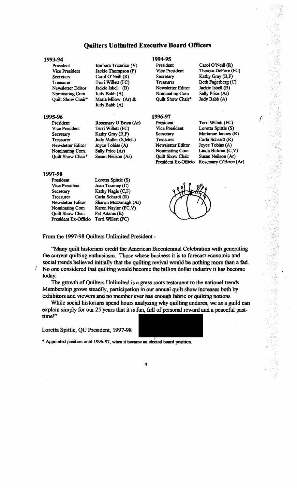### **Quilters Unlimited Executive Board Officers**

Barbara Tricarico (V) Jackie Thompson (F) Carol O'Neil] (R) Terri Willett (FC) Jackie Isbell (B) Judy Babb (A) Marie Milow (Ar) &. Judy Babb (A)

Rosemary O'Brien (Ar) Terri Willett (FC) Kathy Gray (B,F) Judy Muller (S,McL) Joyce Tobias (A) Sally Price (Ar) Susan Neilson (Ar)

#### 1993-94

President Vice President **Secretary** Treasurer Newsletter Editor Nominating Com. Quilt Show Chair\*

#### 1995-96

President Vice President **Secretary** Treasurer Newsletter Editor Nominating Com. Quilt Show Cbair\*

# 1997·98

President

**Secretary** Treasurer

Vice President Newsletter Editor Nominating Com Quilt Show Chair President Ex-Officio Loretta Spittle (S) Joan Toomey (C) Kathy Nagle (C,F) Carla Schardt (R) Sharon McDonagh (Ar) Karen Naylor (FC, V) Pat Adams (B) Terri Willett (FC)

#### 1994-95

President Vice President **Secretary** Treasurer Newsletter Editor Nominating Com Quilt Show Chair\*

Kathy (B,F) Beth Fagerberg (C) Jackie IsbeU (B) Sally Price (Ar) Judy Babb (A)

Carol O'Neill (R) Theresa Defore (FC)

### 1996-97

President Vice President **Secretary Treasurer** Newsletter Editor Nominating Com Quilt Show Chair President Ex-Officio

/ Terri Willett (FC) Loretta Spittle (S) Marianne Janney (R) Carla Schardt (R) Joyce Tobias (A) Linda Birkner (C, V) Susan Neilson (Ar) Rosemary O'Brien (Ar)



From the 1997-98 Quilters Unlimited President·

"Many quilt historians credit the American Bicentennial Celebration with generating the current quilting enthusiasm. Those whose business it is to forecast economic and social trends believed initially that the quilting revival would be nothing more than a fad. No one considered that quilting would become the billion dollar industry it has become today.

The growth of Quilters Unlimited is a grass roots testament to the national trends. Membership grows steadily, participation in our annual quilt show increases both by exhibitors and viewers and no member ever has enough fabric or quilting notions.

While social historians spend hours analyzing why quilting endures, we as a guild can explain simply for our 25 years that it is fun, full of personal reward and a peaceful pasttime!"

Loretta Spittle, QU President, 1997-98



\*Appointed position until 1996-97. when it became an elected board position.

4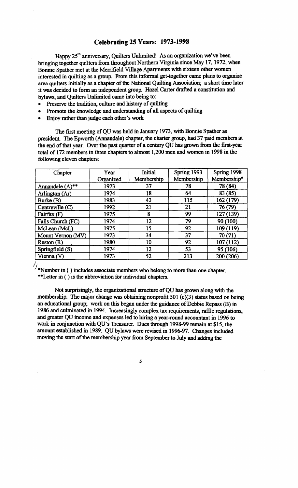## Celebrating 25 Years: 1973-1998

Happy  $25<sup>th</sup>$  anniversary, Ouilters Unlimited! As an organization we've been bringing together quilters from throughout Northern Virginia since May 17, 1972, when Bonnie Spather met at the Merrifield Village Apartments with sixteen other women interested in quilting as a group. From this informal get-together came plans to organize area quilters initially as a chapter of the National Quilting Association; a short time later it was decided to form an independent group. Hazel Carter drafted a constitution and bylaws, and Quilters Unlimited came into being to:

- Preserve the tradition, culture and history of quilting
- Promote the knowledge and understanding of all aspects of quilting
- Enjoy rather than judge each other's work

The first meeting of QU was held in January 1973, with Bonnie Spather as president. The Epworth (Annandale) chapter, the charter group, had 37 paid members at the end of that year. Over the past quarter of a century QU has grown from the first-year total of 172 members in three chapters to almost 1,200 men and women in 1998 in the following eleven chapters:

| Chapter                       | Year      | Initial    | Spring 1993 | Spring 1998  |
|-------------------------------|-----------|------------|-------------|--------------|
|                               | Organized | Membership | Membership  | Membership*  |
| Annandale $(A)$ <sup>**</sup> | 1973      | 37         | 78          | 78 (84)      |
| Arlington (Ar)                | 1974      | 18         | 64          | 83 (85)      |
| Burke (B)                     | 1983      | 43         | 115         | 162 (179)    |
| Centreville $(C)$             | 1992      | 21         | 21          | 76 (79)      |
| Fairfax (F)                   | 1975      | 8          | 99          | 127 (139)    |
| Falls Church (FC)             | 1974      | 12         | 79          | 90 (100)     |
| McLean (McL)                  | 1975      | 15         | 92          | 109 (119)    |
| Mount Vernon (MV)             | 1973      | 34         | 37          | 70 (71)      |
| Reston(R)                     | 1980      | 10         | 92          | (112)<br>107 |
| Springfield (S)               | 1974      | 12         | 53          | 95 (106)     |
| Vienna (V)                    | 1973      | 52         | 213         | 200 (206)    |

 $\lambda$ <sup>\*</sup>Number in ( ) includes associate members who belong to more than one chapter. \*\*Letter in ( ) is the abbreviation for individual chapters.

Not surprisingly, the organizational structure ofQU has grown along with the membership. The major change was obtaining nonprofit 501 ( $c$ )(3) status based on being an educational group; work on this began under the guidance of Debbie Repass  $(B)$  in 1986 and culminated in 1994. Increasingly complex tax requirements, raffle regulations, and greater QU income and expenses led to hiring a year-round accountant in 1996 to work in conjunction with QU's Treasurer. Dues through 1998-99 remain at \$15, the amount established in 1989. QU bylaws were revised in 1996-97. Changes included moving the start of the membership year from September to July and adding the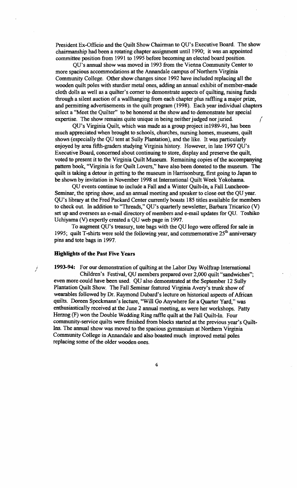President Ex-Officio and the Quilt Show Chainnan to QU's Executive Board. The show chairmanship had been a rotating chapter assignment until 1990; it was an appointed committee position from 1991 to 1995 before becoming an elected board position.

QU's annual show was moved in 1993 from the Vienna Community Center to more spacious accommodations at the Annandale campus of Northern Virginia Community College. Other show changes since 1992 have included replacing all the wooden quilt poles with sturdier metal ones, adding an annual exhibit of member-made cloth dolls as well as a quilter's comer to demonstrate aspects of quilting, raising funds through a silent auction of a wallhanging from each chapter plus raffling a major prize. and pennitting advertisements in the quilt program (1998). Each year individual chapters select a "Meet the Quilter" to be honored at the show and to demonstrate her special expertise. The show remains quite unique in being neither judged nor juried.

QU's Virginia Quilt, which was made as a group project in1989-91, has been much appreciated when brought to schools, churches, nursing homes, museums, quilt shows (especially the QU tent at Sully Plantation), and the like. It was particularly enjoyed by area fifth-graders studying Virginia history. However, in late 1997 QU's Executive Board, concerned about continuing to store, display and preserve the quilt, voted to present it to the Virginia Quilt Museum. Remaining copies of the accompanying pattern book, "Virginia is for Quilt Lovers," have also been donated to the museum. The quilt is taking a detour in getting to the museum in Harrisonburg, first going to Japan to be shown by invitation in November 1998 at International Quilt Week Yokohama.

QU events continue to include a Fall and a Winter Quilt-In, a Fall Luncheon-Seminar, the spring show, and an annual meeting and speaker to close out the QU year. QU's library at the Fred Packard Center currently boasts 185 titles available for members to check out. In addition to "Threads," QU's quarterly newsletter. Barbara Tricarico (V) set up and oversees an e-mail directory of members and e-mail updates for QU. Toshiko Uchiyama (V) expertly created a QU web page in 1997.

To augment QU's treasury, tote bags with the QU logo were offered for sale in 1995; quilt T-shirts were sold the following year, and commemorative  $25<sup>th</sup>$  anniversary pins and tote bags in 1997.

#### Highlights of the Past Five Years

*,i* 

<sup>i</sup>1993-94: For our demonstration of quilting at the Labor Day Wolftrap International Children's Festival, QU members prepared over 2,000 quilt "sandwiches"; even more could have been used. QU also demonstrated at the September 12 Sully Plantation Quilt Show. The Fall Seminar featured Virginia Avery's trunk show of wearables followed by Dr. Raymond Dubard's lecture on historical aspects of African quilts. Doreen Speckmann's lecture, "Will Go Anywhere for a Quarter Yard," was enthusiastically received at the June 2 annual meeting, as were her workshops. Patty Herzog (F) won the Double Wedding Ring raffle quilt at the Fall Quilt-In. Four community-service quilts were finished from blocks started at the previous year's Quilt-Ins. The annual show was moved to the spacious gymnasium at Northern Virginia Community College in Annandale and also boasted much improved metal poles replacing some of the older wooden ones.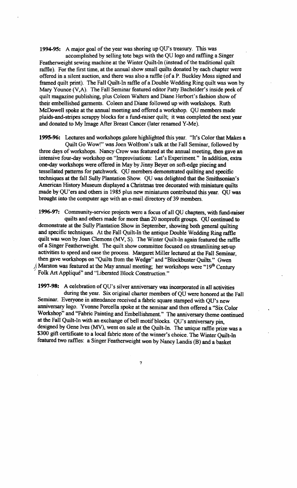1994-95: A major goal of the year was shoring up QU's treasury. This was

accomplished by selling tote bags with the QU logo and raffling a Singer Featherweight sewing machine at the Winter Quilt-In (instead of the traditional quilt raffle). For the first time, at the annual show small quilts donated by each chapter were offered in a silent auction, and there was also a raffle (of a P. Buckley Moss signed and framed quilt print). The Fall Quilt-In raftle of a Double Wedding Ring quilt was won by Mary Younce (V,A). The Fall Seminar featured editor Patty Bachelder's inside peek of quilt magazine publishing, plus Coleen Walters and Diane Herbort's fashion show of their embellished garments. Coleen and Diane followed up with workshops. Ruth McDowell spoke at the annual meeting and offered a workshop. QU members made plaids-and-stripes scrappy blocks for a fund-raiser quilt; it was completed the next year and donated to My Image After Breast Cancer (later renamed Y-Me).

1995-96: Lectures and workshops galore highlighted this year. "It's Color that Makes a Quilt Go Wow!" was Joen Wolfrom's talk at the Fall Seminar, followed by three days of workshops. Nancy Crow was featured at the annual meeting, then gave an intensive four-day workshop on "Improvisations: Let's Experiment." In addition, extra one-day workshops were offered in May by Jinny Beyer on soft-edge piecing and tessellated patterns for patchwork. QU members demonstrated quilting and specific techniques at the fall Sully Plantation Show. QU was delighted that the Smithsonian's American History Museum displayed a Christmas tree decorated with miniature quilts made by QU'ers and others in 1985 plus new miniatures contributed this year. QU was brought into the computer age with an e-mail directory of 39 members.

1996-97: Community-service projects were a focus of all QU chapters, with fund-raiser quilts and others made for more than 20 nonprofit groups. QU continued to demonstrate at the Sully Plantation Show in September, showing both general quilting and specific techniques. At the Fall Quilt-In the antique Double Wedding Ring raffle quilt was won by Joan Clemons (MV, S). The Winter Quilt-In again featured the raffle ofa Singer Featherweight. The quilt show committee focused on streamlining set-up activities to speed and ease the process. Margaret Miller lectured at the Fall Seminar, then gave workshops on "Quilts from the Wedge" and "Blockbuster Quilts." Gwen Marston was featured at the May annual meeting; her workshops were " $19<sup>th</sup>$  Century" Folk Art Appliqué" and "Liberated Block Construction."

1997-98: A celebration of QU's silver anniversary was incorporated in all activities during the year. Six original charter members of QU were honored at the Fall Seminar. Everyone in attendance received a fabric square stamped with QU's new anniversary logo. Yvonne Porcella spoke at the seminar and then offered a "Six Color Workshop" and "Fabric Painting and Embellishment." The anniversary theme continued at the Fall Quilt-In with an exchange of bell motif blocks. QU's anniversary pin, designed by Gene Ives (MV), went on sale at the Quilt-In. The unique raffle prize-was a \$300 gift certificate to a local fabric store of the winner's choice. The Winter Quilt-In featured two raffles: a Singer Featherweight won by Nancy Landis (B) and a basket